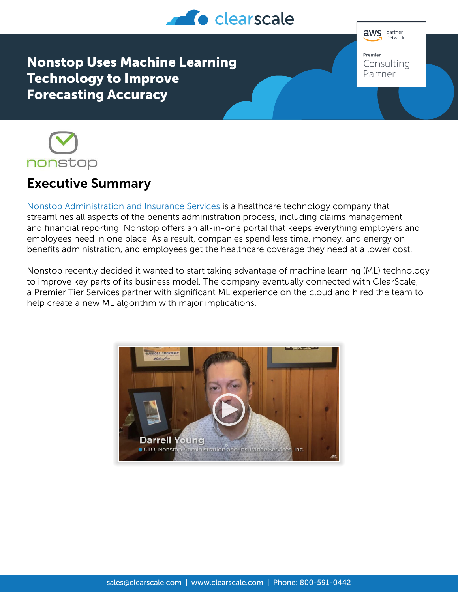

**aws** partner .<br>network Premier Consulting Partner

Nonstop Uses Machine Learning Technology to Improve Forecasting Accuracy



## Executive Summary

[Nonstop Administration and Insurance Services](https://www.nonstopwellness.com/) is a healthcare technology company that streamlines all aspects of the benefits administration process, including claims management and financial reporting. Nonstop offers an all-in-one portal that keeps everything employers and employees need in one place. As a result, companies spend less time, money, and energy on benefits administration, and employees get the healthcare coverage they need at a lower cost.

Nonstop recently decided it wanted to start taking advantage of machine learning (ML) technology to improve key parts of its business model. The company eventually connected with ClearScale, a Premier Tier Services partner with significant ML experience on the cloud and hired the team to help create a new ML algorithm with major implications.

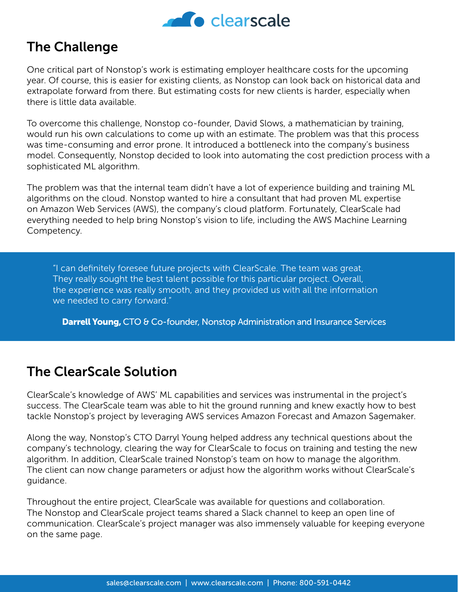

## The Challenge

One critical part of Nonstop's work is estimating employer healthcare costs for the upcoming year. Of course, this is easier for existing clients, as Nonstop can look back on historical data and extrapolate forward from there. But estimating costs for new clients is harder, especially when there is little data available.

To overcome this challenge, Nonstop co-founder, David Slows, a mathematician by training, would run his own calculations to come up with an estimate. The problem was that this process was time-consuming and error prone. It introduced a bottleneck into the company's business model. Consequently, Nonstop decided to look into automating the cost prediction process with a sophisticated ML algorithm.

The problem was that the internal team didn't have a lot of experience building and training ML algorithms on the cloud. Nonstop wanted to hire a consultant that had proven ML expertise on Amazon Web Services (AWS), the company's cloud platform. Fortunately, ClearScale had everything needed to help bring Nonstop's vision to life, including the AWS Machine Learning Competency.

"I can definitely foresee future projects with ClearScale. The team was great. They really sought the best talent possible for this particular project. Overall, the experience was really smooth, and they provided us with all the information we needed to carry forward."

**Darrell Young, CTO & Co-founder, Nonstop Administration and Insurance Services** 

## The ClearScale Solution

ClearScale's knowledge of AWS' ML capabilities and services was instrumental in the project's success. The ClearScale team was able to hit the ground running and knew exactly how to best tackle Nonstop's project by leveraging AWS services Amazon Forecast and Amazon Sagemaker.

Along the way, Nonstop's CTO Darryl Young helped address any technical questions about the company's technology, clearing the way for ClearScale to focus on training and testing the new algorithm. In addition, ClearScale trained Nonstop's team on how to manage the algorithm. The client can now change parameters or adjust how the algorithm works without ClearScale's guidance.

Throughout the entire project, ClearScale was available for questions and collaboration. The Nonstop and ClearScale project teams shared a Slack channel to keep an open line of communication. ClearScale's project manager was also immensely valuable for keeping everyone on the same page.